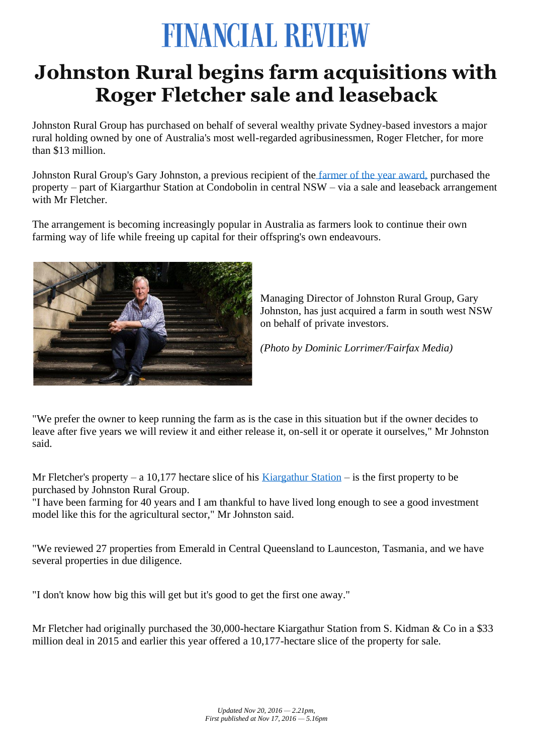## **FINANCIAL REVIEW**

## **Johnston Rural begins farm acquisitions with Roger Fletcher sale and leaseback**

Johnston Rural Group has purchased on behalf of several wealthy private Sydney-based investors a major rural holding owned by one of Australia's most well-regarded agribusinessmen, Roger Fletcher, for more than \$13 million.

Johnston Rural Group's Gary Johnston, a previous recipient of the [farmer of the year award,](http://www.dpi.nsw.gov.au/about-us/events/nsw-farmer-of-the-year-award) purchased the property – part of Kiargarthur Station at Condobolin in central NSW – via a sale and leaseback arrangement with Mr Fletcher.

The arrangement is becoming increasingly popular in Australia as farmers look to continue their own farming way of life while freeing up capital for their offspring's own endeavours.



Managing Director of Johnston Rural Group, Gary Johnston, has just acquired a farm in south west NSW on behalf of private investors.

*(Photo by Dominic Lorrimer/Fairfax Media)*

"We prefer the owner to keep running the farm as is the case in this situation but if the owner decides to leave after five years we will review it and either release it, on-sell it or operate it ourselves," Mr Johnston said.

Mr Fletcher's property – a 10,177 hectare slice of his [Kiargathur Station](http://www.afr.com/real-estate/roger-fletcher-selling-slice-of-former-s-kidman--co-farming-property-20160915-grh7rx#ixzz4QJrwvosM) – is the first property to be purchased by Johnston Rural Group.

"I have been farming for 40 years and I am thankful to have lived long enough to see a good investment model like this for the agricultural sector," Mr Johnston said.

"We reviewed 27 properties from Emerald in Central Queensland to Launceston, Tasmania, and we have several properties in due diligence.

"I don't know how big this will get but it's good to get the first one away."

Mr Fletcher had originally purchased the 30,000-hectare Kiargathur Station from S. Kidman & Co in a \$33 million deal in 2015 and earlier this year offered a 10,177-hectare slice of the property for sale.